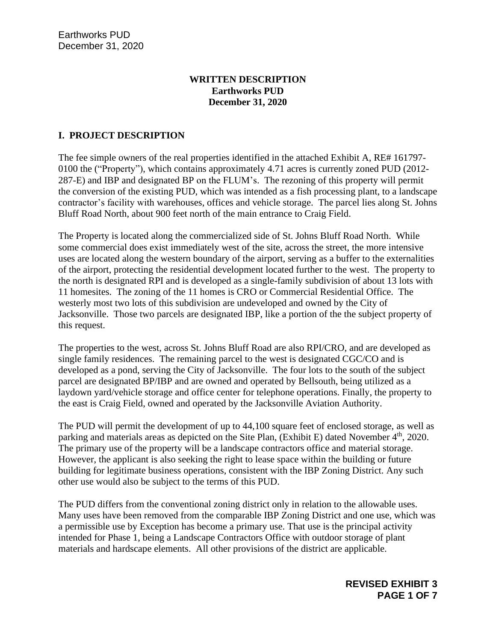#### **WRITTEN DESCRIPTION Earthworks PUD December 31, 2020**

# **I. PROJECT DESCRIPTION**

The fee simple owners of the real properties identified in the attached Exhibit A, RE# 161797- 0100 the ("Property"), which contains approximately 4.71 acres is currently zoned PUD (2012- 287-E) and IBP and designated BP on the FLUM's. The rezoning of this property will permit the conversion of the existing PUD, which was intended as a fish processing plant, to a landscape contractor's facility with warehouses, offices and vehicle storage. The parcel lies along St. Johns Bluff Road North, about 900 feet north of the main entrance to Craig Field.

The Property is located along the commercialized side of St. Johns Bluff Road North. While some commercial does exist immediately west of the site, across the street, the more intensive uses are located along the western boundary of the airport, serving as a buffer to the externalities of the airport, protecting the residential development located further to the west. The property to the north is designated RPI and is developed as a single-family subdivision of about 13 lots with 11 homesites. The zoning of the 11 homes is CRO or Commercial Residential Office. The westerly most two lots of this subdivision are undeveloped and owned by the City of Jacksonville. Those two parcels are designated IBP, like a portion of the the subject property of this request.

The properties to the west, across St. Johns Bluff Road are also RPI/CRO, and are developed as single family residences. The remaining parcel to the west is designated CGC/CO and is developed as a pond, serving the City of Jacksonville. The four lots to the south of the subject parcel are designated BP/IBP and are owned and operated by Bellsouth, being utilized as a laydown yard/vehicle storage and office center for telephone operations. Finally, the property to the east is Craig Field, owned and operated by the Jacksonville Aviation Authority.

The PUD will permit the development of up to 44,100 square feet of enclosed storage, as well as parking and materials areas as depicted on the Site Plan, (Exhibit E) dated November 4<sup>th</sup>, 2020. The primary use of the property will be a landscape contractors office and material storage. However, the applicant is also seeking the right to lease space within the building or future building for legitimate business operations, consistent with the IBP Zoning District. Any such other use would also be subject to the terms of this PUD.

The PUD differs from the conventional zoning district only in relation to the allowable uses. Many uses have been removed from the comparable IBP Zoning District and one use, which was a permissible use by Exception has become a primary use. That use is the principal activity intended for Phase 1, being a Landscape Contractors Office with outdoor storage of plant materials and hardscape elements. All other provisions of the district are applicable.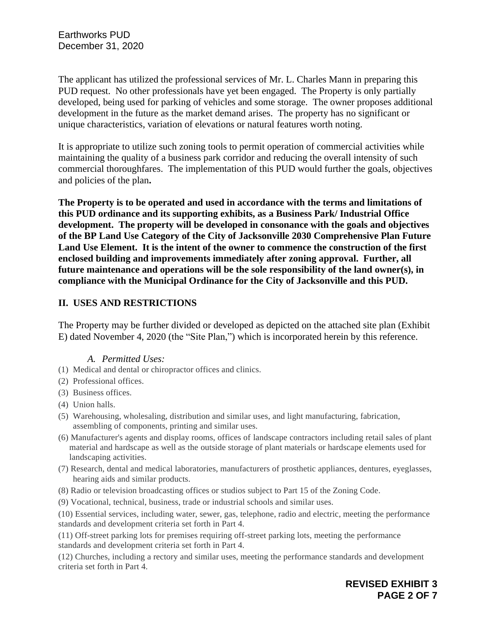The applicant has utilized the professional services of Mr. L. Charles Mann in preparing this PUD request. No other professionals have yet been engaged. The Property is only partially developed, being used for parking of vehicles and some storage. The owner proposes additional development in the future as the market demand arises. The property has no significant or unique characteristics, variation of elevations or natural features worth noting.

It is appropriate to utilize such zoning tools to permit operation of commercial activities while maintaining the quality of a business park corridor and reducing the overall intensity of such commercial thoroughfares. The implementation of this PUD would further the goals, objectives and policies of the plan**.** 

**The Property is to be operated and used in accordance with the terms and limitations of this PUD ordinance and its supporting exhibits, as a Business Park/ Industrial Office development. The property will be developed in consonance with the goals and objectives of the BP Land Use Category of the City of Jacksonville 2030 Comprehensive Plan Future Land Use Element. It is the intent of the owner to commence the construction of the first enclosed building and improvements immediately after zoning approval. Further, all future maintenance and operations will be the sole responsibility of the land owner(s), in compliance with the Municipal Ordinance for the City of Jacksonville and this PUD.** 

## **II. USES AND RESTRICTIONS**

The Property may be further divided or developed as depicted on the attached site plan (Exhibit E) dated November 4, 2020 (the "Site Plan,") which is incorporated herein by this reference.

#### *A. Permitted Uses:*

- (1) Medical and dental or chiropractor offices and clinics.
- (2) Professional offices.
- (3) Business offices.
- (4) Union halls.
- (5) Warehousing, wholesaling, distribution and similar uses, and light manufacturing, fabrication, assembling of components, printing and similar uses.
- (6) Manufacturer's agents and display rooms, offices of landscape contractors including retail sales of plant material and hardscape as well as the outside storage of plant materials or hardscape elements used for landscaping activities.
- (7) Research, dental and medical laboratories, manufacturers of prosthetic appliances, dentures, eyeglasses, hearing aids and similar products.
- (8) Radio or television broadcasting offices or studios subject to Part 15 of the Zoning Code.
- (9) Vocational, technical, business, trade or industrial schools and similar uses.

(10) Essential services, including water, sewer, gas, telephone, radio and electric, meeting the performance standards and development criteria set forth in Part 4.

(11) Off-street parking lots for premises requiring off-street parking lots, meeting the performance standards and development criteria set forth in Part 4.

(12) Churches, including a rectory and similar uses, meeting the performance standards and development criteria set forth in Part 4.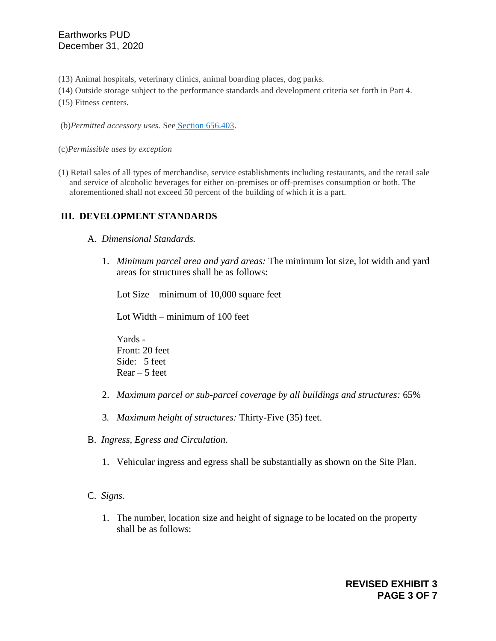(13) Animal hospitals, veterinary clinics, animal boarding places, dog parks.

(14) Outside storage subject to the performance standards and development criteria set forth in Part 4.

(15) Fitness centers.

(b)*Permitted accessory uses.* See [Section 656.403.](https://library.municode.com/fl/jacksonville/codes/code_of_ordinances?nodeId=ZOSE_CH656ZOCO_PT4SURE_SPBMIRE_S656.403ACUSST)

(c)*Permissible uses by exception*

(1) Retail sales of all types of merchandise, service establishments including restaurants, and the retail sale and service of alcoholic beverages for either on-premises or off-premises consumption or both. The aforementioned shall not exceed 50 percent of the building of which it is a part.

## **III. DEVELOPMENT STANDARDS**

- A. *Dimensional Standards.*
	- 1. *Minimum parcel area and yard areas:* The minimum lot size, lot width and yard areas for structures shall be as follows:

Lot Size – minimum of 10,000 square feet

Lot Width – minimum of 100 feet

Yards - Front: 20 feet Side: 5 feet  $Rear - 5$  feet

- 2. *Maximum parcel or sub-parcel coverage by all buildings and structures:* 65%
- 3*. Maximum height of structures:* Thirty-Five (35) feet.
- B. *Ingress, Egress and Circulation.*
	- 1. Vehicular ingress and egress shall be substantially as shown on the Site Plan.
- C. *Signs.*
	- 1. The number, location size and height of signage to be located on the property shall be as follows: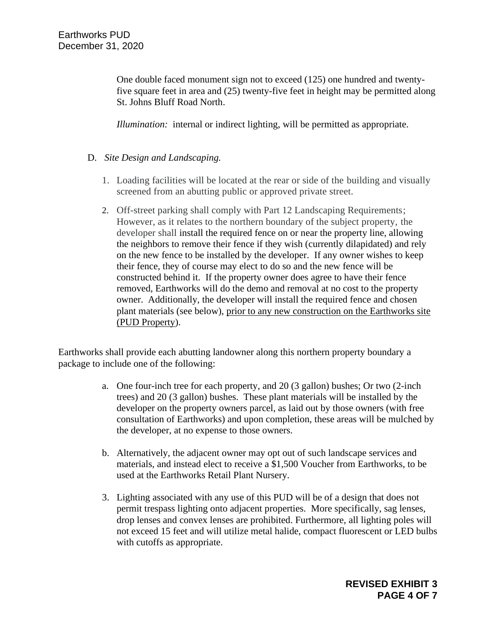One double faced monument sign not to exceed (125) one hundred and twentyfive square feet in area and (25) twenty-five feet in height may be permitted along St. Johns Bluff Road North.

*Illumination:* internal or indirect lighting, will be permitted as appropriate.

### D. *Site Design and Landscaping.*

- 1. Loading facilities will be located at the rear or side of the building and visually screened from an abutting public or approved private street.
- 2. Off-street parking shall comply with Part 12 Landscaping Requirements; However, as it relates to the northern boundary of the subject property, the developer shall install the required fence on or near the property line, allowing the neighbors to remove their fence if they wish (currently dilapidated) and rely on the new fence to be installed by the developer. If any owner wishes to keep their fence, they of course may elect to do so and the new fence will be constructed behind it. If the property owner does agree to have their fence removed, Earthworks will do the demo and removal at no cost to the property owner. Additionally, the developer will install the required fence and chosen plant materials (see below), prior to any new construction on the Earthworks site (PUD Property).

Earthworks shall provide each abutting landowner along this northern property boundary a package to include one of the following:

- a. One four-inch tree for each property, and 20 (3 gallon) bushes; Or two (2-inch trees) and 20 (3 gallon) bushes. These plant materials will be installed by the developer on the property owners parcel, as laid out by those owners (with free consultation of Earthworks) and upon completion, these areas will be mulched by the developer, at no expense to those owners.
- b. Alternatively, the adjacent owner may opt out of such landscape services and materials, and instead elect to receive a \$1,500 Voucher from Earthworks, to be used at the Earthworks Retail Plant Nursery.
- 3. Lighting associated with any use of this PUD will be of a design that does not permit trespass lighting onto adjacent properties. More specifically, sag lenses, drop lenses and convex lenses are prohibited. Furthermore, all lighting poles will not exceed 15 feet and will utilize metal halide, compact fluorescent or LED bulbs with cutoffs as appropriate.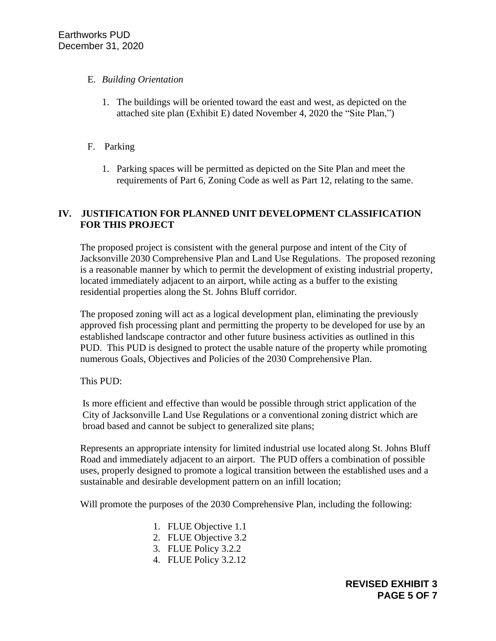## E. *Building Orientation*

- 1. The buildings will be oriented toward the east and west, as depicted on the attached site plan (Exhibit E) dated November 4, 2020 the "Site Plan,")
- F. Parking
	- 1. Parking spaces will be permitted as depicted on the Site Plan and meet the requirements of Part 6, Zoning Code as well as Part 12, relating to the same.

# **IV. JUSTIFICATION FOR PLANNED UNIT DEVELOPMENT CLASSIFICATION FOR THIS PROJECT**

The proposed project is consistent with the general purpose and intent of the City of Jacksonville 2030 Comprehensive Plan and Land Use Regulations. The proposed rezoning is a reasonable manner by which to permit the development of existing industrial property, located immediately adjacent to an airport, while acting as a buffer to the existing residential properties along the St. Johns Bluff corridor.

The proposed zoning will act as a logical development plan, eliminating the previously approved fish processing plant and permitting the property to be developed for use by an established landscape contractor and other future business activities as outlined in this PUD. This PUD is designed to protect the usable nature of the property while promoting numerous Goals, Objectives and Policies of the 2030 Comprehensive Plan.

This PUD:

Is more efficient and effective than would be possible through strict application of the City of Jacksonville Land Use Regulations or a conventional zoning district which are broad based and cannot be subject to generalized site plans;

Represents an appropriate intensity for limited industrial use located along St. Johns Bluff Road and immediately adjacent to an airport. The PUD offers a combination of possible uses, properly designed to promote a logical transition between the established uses and a sustainable and desirable development pattern on an infill location;

Will promote the purposes of the 2030 Comprehensive Plan, including the following:

- 1. FLUE Objective 1.1
- 2. FLUE Objective 3.2
- 3. FLUE Policy 3.2.2
- 4. FLUE Policy 3.2.12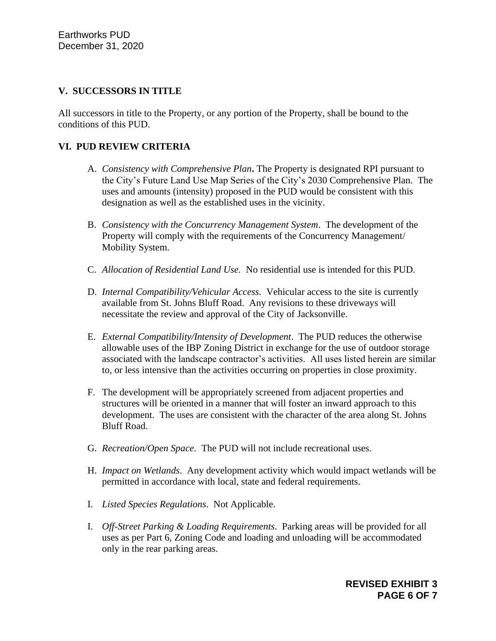### **V. SUCCESSORS IN TITLE**

All successors in title to the Property, or any portion of the Property, shall be bound to the conditions of this PUD.

### **VI. PUD REVIEW CRITERIA**

- A. *Consistency with Comprehensive Plan***.** The Property is designated RPI pursuant to the City's Future Land Use Map Series of the City's 2030 Comprehensive Plan. The uses and amounts (intensity) proposed in the PUD would be consistent with this designation as well as the established uses in the vicinity.
- B. *Consistency with the Concurrency Management System*. The development of the Property will comply with the requirements of the Concurrency Management/ Mobility System.
- C. *Allocation of Residential Land Use.* No residential use is intended for this PUD.
- D. *Internal Compatibility/Vehicular Access.* Vehicular access to the site is currently available from St. Johns Bluff Road. Any revisions to these driveways will necessitate the review and approval of the City of Jacksonville.
- E. *External Compatibility/Intensity of Development*. The PUD reduces the otherwise allowable uses of the IBP Zoning District in exchange for the use of outdoor storage associated with the landscape contractor's activities. All uses listed herein are similar to, or less intensive than the activities occurring on properties in close proximity.
- F. The development will be appropriately screened from adjacent properties and structures will be oriented in a manner that will foster an inward approach to this development. The uses are consistent with the character of the area along St. Johns Bluff Road.
- G. *Recreation/Open Space*. The PUD will not include recreational uses.
- H. *Impact on Wetlands*. Any development activity which would impact wetlands will be permitted in accordance with local, state and federal requirements.
- I. *Listed Species Regulations*. Not Applicable.
- I. *Off-Street Parking & Loading Requirements*. Parking areas will be provided for all uses as per Part 6, Zoning Code and loading and unloading will be accommodated only in the rear parking areas.